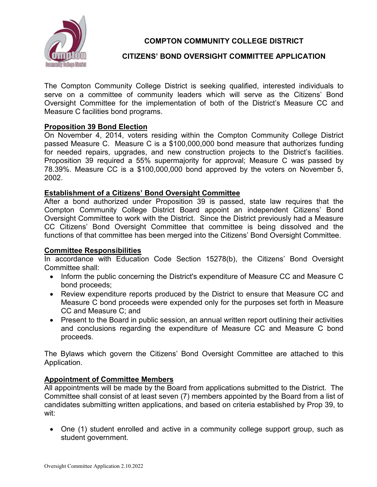

# **COMPTON COMMUNITY COLLEGE DISTRICT**

# **CITIZENS' BOND OVERSIGHT COMMITTEE APPLICATION**

The Compton Community College District is seeking qualified, interested individuals to serve on a committee of community leaders which will serve as the Citizens' Bond Oversight Committee for the implementation of both of the District's Measure CC and Measure C facilities bond programs.

## **Proposition 39 Bond Election**

On November 4, 2014, voters residing within the Compton Community College District passed Measure C. Measure C is a \$100,000,000 bond measure that authorizes funding for needed repairs, upgrades, and new construction projects to the District's facilities. Proposition 39 required a 55% supermajority for approval; Measure C was passed by 78.39%. Measure CC is a \$100,000,000 bond approved by the voters on November 5, 2002.

## **Establishment of a Citizens' Bond Oversight Committee**

After a bond authorized under Proposition 39 is passed, state law requires that the Compton Community College District Board appoint an independent Citizens' Bond Oversight Committee to work with the District. Since the District previously had a Measure CC Citizens' Bond Oversight Committee that committee is being dissolved and the functions of that committee has been merged into the Citizens' Bond Oversight Committee.

## **Committee Responsibilities**

In accordance with Education Code Section 15278(b), the Citizens' Bond Oversight Committee shall:

- Inform the public concerning the District's expenditure of Measure CC and Measure C bond proceeds;
- Review expenditure reports produced by the District to ensure that Measure CC and Measure C bond proceeds were expended only for the purposes set forth in Measure CC and Measure C; and
- Present to the Board in public session, an annual written report outlining their activities and conclusions regarding the expenditure of Measure CC and Measure C bond proceeds.

The Bylaws which govern the Citizens' Bond Oversight Committee are attached to this Application.

## **Appointment of Committee Members**

All appointments will be made by the Board from applications submitted to the District. The Committee shall consist of at least seven (7) members appointed by the Board from a list of candidates submitting written applications, and based on criteria established by Prop 39, to wit:

• One (1) student enrolled and active in a community college support group, such as student government.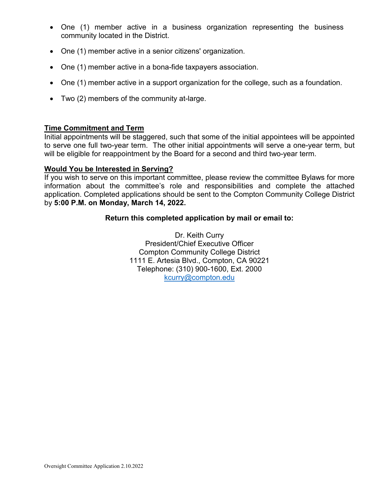- One (1) member active in a business organization representing the business community located in the District.
- One (1) member active in a senior citizens' organization.
- One (1) member active in a bona-fide taxpayers association.
- One (1) member active in a support organization for the college, such as a foundation.
- Two (2) members of the community at-large.

#### **Time Commitment and Term**

Initial appointments will be staggered, such that some of the initial appointees will be appointed to serve one full two-year term. The other initial appointments will serve a one-year term, but will be eligible for reappointment by the Board for a second and third two-year term.

## **Would You be Interested in Serving?**

If you wish to serve on this important committee, please review the committee Bylaws for more information about the committee's role and responsibilities and complete the attached application. Completed applications should be sent to the Compton Community College District by **5:00 P.M. on Monday, March 14, 2022.**

#### **Return this completed application by mail or email to:**

Dr. Keith Curry President/Chief Executive Officer Compton Community College District 1111 E. Artesia Blvd., Compton, CA 90221 Telephone: (310) 900-1600, Ext. 2000 [kcurry@compton.edu](mailto:kcurry@compton.edu)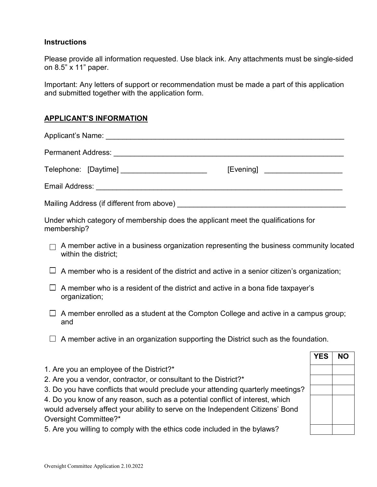## **Instructions**

Please provide all information requested. Use black ink. Any attachments must be single-sided on 8.5" x 11" paper.

Important: Any letters of support or recommendation must be made a part of this application and submitted together with the application form.

## **APPLICANT'S INFORMATION**

| Telephone: [Daytime] ________________________ | [Evening] _____________________ |  |  |  |
|-----------------------------------------------|---------------------------------|--|--|--|
|                                               |                                 |  |  |  |
| Mailing Address (if different from above) _   |                                 |  |  |  |

Under which category of membership does the applicant meet the qualifications for membership?

- $\Box$  A member active in a business organization representing the business community located within the district;
- $\Box$  A member who is a resident of the district and active in a senior citizen's organization;
- $\Box$  A member who is a resident of the district and active in a bona fide taxpayer's organization;
- $\Box$  A member enrolled as a student at the Compton College and active in a campus group; and
- $\Box$  A member active in an organization supporting the District such as the foundation.
- 1. Are you an employee of the District?\*
- 2. Are you a vendor, contractor, or consultant to the District?\*
- 3. Do you have conflicts that would preclude your attending quarterly meetings?
- 4. Do you know of any reason, such as a potential conflict of interest, which would adversely affect your ability to serve on the Independent Citizens' Bond Oversight Committee?\*
- 5. Are you willing to comply with the ethics code included in the bylaws?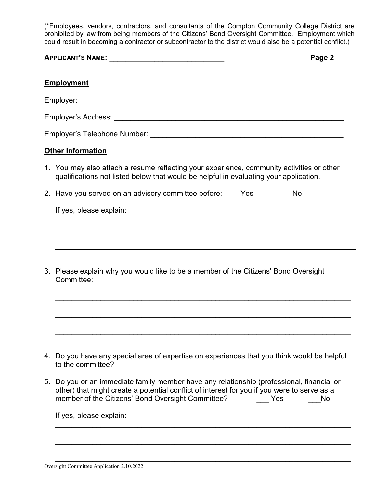(\*Employees, vendors, contractors, and consultants of the Compton Community College District are prohibited by law from being members of the Citizens' Bond Oversight Committee. Employment which could result in becoming a contractor or subcontractor to the district would also be a potential conflict.)

|    | <b>APPLICANT'S NAME:</b> APPLICANT'S NAME:<br>Page 2                                                                                                                                                                                                    |  |  |  |
|----|---------------------------------------------------------------------------------------------------------------------------------------------------------------------------------------------------------------------------------------------------------|--|--|--|
|    | <b>Employment</b>                                                                                                                                                                                                                                       |  |  |  |
|    |                                                                                                                                                                                                                                                         |  |  |  |
|    |                                                                                                                                                                                                                                                         |  |  |  |
|    |                                                                                                                                                                                                                                                         |  |  |  |
|    | <b>Other Information</b>                                                                                                                                                                                                                                |  |  |  |
|    | 1. You may also attach a resume reflecting your experience, community activities or other<br>qualifications not listed below that would be helpful in evaluating your application.                                                                      |  |  |  |
|    | 2. Have you served on an advisory committee before: ____ Yes ______ No                                                                                                                                                                                  |  |  |  |
|    |                                                                                                                                                                                                                                                         |  |  |  |
|    |                                                                                                                                                                                                                                                         |  |  |  |
|    |                                                                                                                                                                                                                                                         |  |  |  |
|    | 3. Please explain why you would like to be a member of the Citizens' Bond Oversight<br>Committee:                                                                                                                                                       |  |  |  |
|    |                                                                                                                                                                                                                                                         |  |  |  |
|    |                                                                                                                                                                                                                                                         |  |  |  |
|    |                                                                                                                                                                                                                                                         |  |  |  |
|    | 4. Do you have any special area of expertise on experiences that you think would be helpful<br>to the committee?                                                                                                                                        |  |  |  |
| 5. | Do you or an immediate family member have any relationship (professional, financial or<br>other) that might create a potential conflict of interest for you if you were to serve as a<br>member of the Citizens' Bond Oversight Committee?<br>No<br>Yes |  |  |  |

\_\_\_\_\_\_\_\_\_\_\_\_\_\_\_\_\_\_\_\_\_\_\_\_\_\_\_\_\_\_\_\_\_\_\_\_\_\_\_\_\_\_\_\_\_\_\_\_\_\_\_\_\_\_\_\_\_\_\_\_\_\_\_\_\_\_\_\_\_\_\_\_

\_\_\_\_\_\_\_\_\_\_\_\_\_\_\_\_\_\_\_\_\_\_\_\_\_\_\_\_\_\_\_\_\_\_\_\_\_\_\_\_\_\_\_\_\_\_\_\_\_\_\_\_\_\_\_\_\_\_\_\_\_\_\_\_\_\_\_\_\_\_\_\_

\_\_\_\_\_\_\_\_\_\_\_\_\_\_\_\_\_\_\_\_\_\_\_\_\_\_\_\_\_\_\_\_\_\_\_\_\_\_\_\_\_\_\_\_\_\_\_\_\_\_\_\_\_\_\_\_\_\_\_\_\_\_\_\_\_\_\_\_\_\_\_\_

If yes, please explain: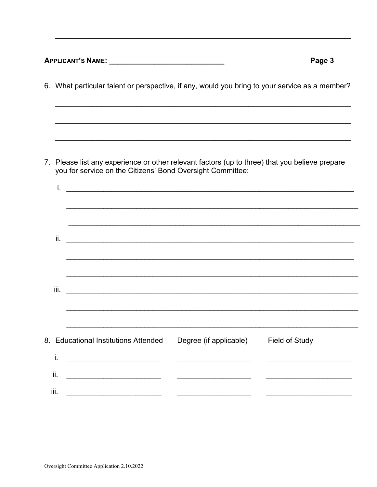| APPLICANT'S NAME:                                                                                                                                                  |                                                                                                                       | Page 3                |
|--------------------------------------------------------------------------------------------------------------------------------------------------------------------|-----------------------------------------------------------------------------------------------------------------------|-----------------------|
| 6. What particular talent or perspective, if any, would you bring to your service as a member?                                                                     | ,我们也不能在这里的人,我们也不能在这里的人,我们也不能在这里的人,我们也不能在这里的人,我们也不能在这里的人,我们也不能在这里的人,我们也不能在这里的人,我们也                                     |                       |
|                                                                                                                                                                    |                                                                                                                       |                       |
| 7. Please list any experience or other relevant factors (up to three) that you believe prepare<br>you for service on the Citizens' Bond Oversight Committee:<br>i. |                                                                                                                       |                       |
|                                                                                                                                                                    | <u> 1989 - Johann Stoff, deutscher Stoff, der Stoff, der Stoff, der Stoff, der Stoff, der Stoff, der Stoff, der S</u> |                       |
| ii.                                                                                                                                                                |                                                                                                                       |                       |
| iii.                                                                                                                                                               |                                                                                                                       |                       |
| 8. Educational Institutions Attended<br>i.                                                                                                                         | Degree (if applicable)                                                                                                | <b>Field of Study</b> |
| ii.<br>iii.                                                                                                                                                        |                                                                                                                       |                       |